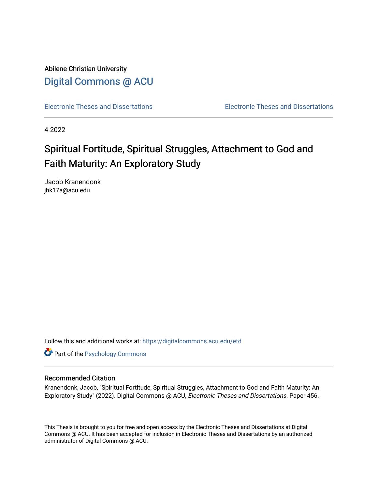Abilene Christian University [Digital Commons @ ACU](https://digitalcommons.acu.edu/)

[Electronic Theses and Dissertations](https://digitalcommons.acu.edu/etd) [Electronic Theses and Dissertations](https://digitalcommons.acu.edu/graduate_works) 

4-2022

# Spiritual Fortitude, Spiritual Struggles, Attachment to God and Faith Maturity: An Exploratory Study

Jacob Kranendonk jhk17a@acu.edu

Follow this and additional works at: [https://digitalcommons.acu.edu/etd](https://digitalcommons.acu.edu/etd?utm_source=digitalcommons.acu.edu%2Fetd%2F456&utm_medium=PDF&utm_campaign=PDFCoverPages) 

**Part of the Psychology Commons** 

#### Recommended Citation

Kranendonk, Jacob, "Spiritual Fortitude, Spiritual Struggles, Attachment to God and Faith Maturity: An Exploratory Study" (2022). Digital Commons @ ACU, Electronic Theses and Dissertations. Paper 456.

This Thesis is brought to you for free and open access by the Electronic Theses and Dissertations at Digital Commons @ ACU. It has been accepted for inclusion in Electronic Theses and Dissertations by an authorized administrator of Digital Commons @ ACU.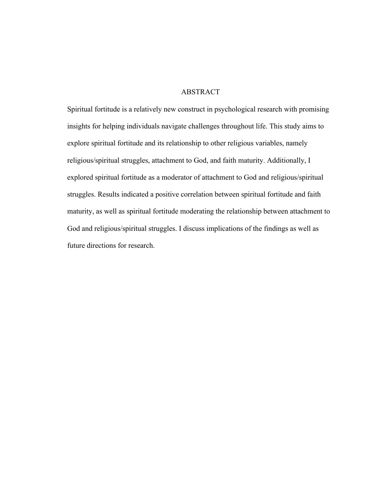## ABSTRACT

Spiritual fortitude is a relatively new construct in psychological research with promising insights for helping individuals navigate challenges throughout life. This study aims to explore spiritual fortitude and its relationship to other religious variables, namely religious/spiritual struggles, attachment to God, and faith maturity. Additionally, I explored spiritual fortitude as a moderator of attachment to God and religious/spiritual struggles. Results indicated a positive correlation between spiritual fortitude and faith maturity, as well as spiritual fortitude moderating the relationship between attachment to God and religious/spiritual struggles. I discuss implications of the findings as well as future directions for research.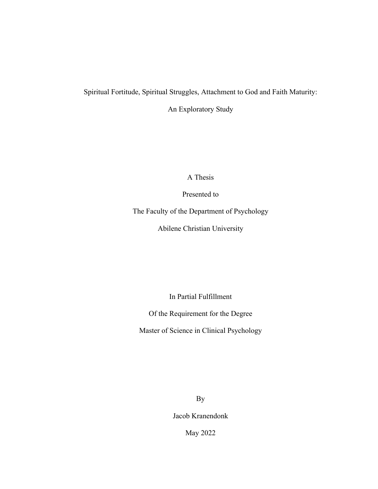## Spiritual Fortitude, Spiritual Struggles, Attachment to God and Faith Maturity:

An Exploratory Study

A Thesis

Presented to

The Faculty of the Department of Psychology

Abilene Christian University

In Partial Fulfillment

Of the Requirement for the Degree

Master of Science in Clinical Psychology

By

Jacob Kranendonk

May 2022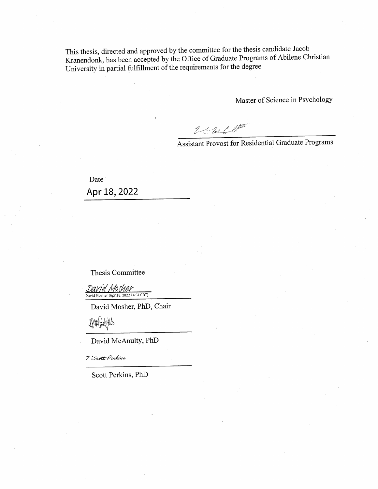This thesis, directed and approved by the committee for the thesis candidate Jacob Kranendonk, has been accepted by the Office of Graduate Programs of Abilene Christian University in partial fulfillment of the requirements for the degree

Master of Science in Psychology

 $2.2010$ 

Assistant Provost for Residential Graduate Programs

Date<sup>-</sup> Apr 18, 2022

Thesis Committee

David Mosher (Apr 18, 2022 14:51 CDT)

David Mosher, PhD, Chair

duble Show QL

David McAnulty, PhD

T Scott Perkins

Scott Perkins, PhD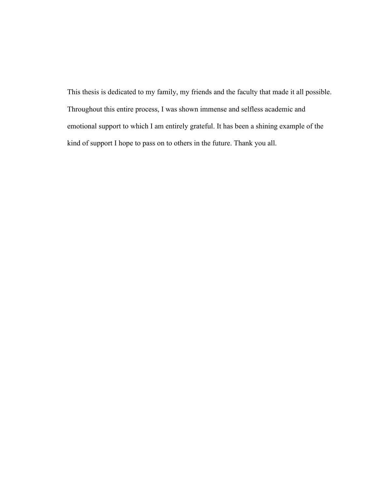This thesis is dedicated to my family, my friends and the faculty that made it all possible. Throughout this entire process, I was shown immense and selfless academic and emotional support to which I am entirely grateful. It has been a shining example of the kind of support I hope to pass on to others in the future. Thank you all.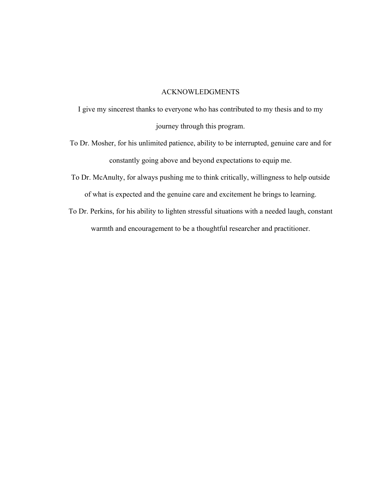#### ACKNOWLEDGMENTS

- I give my sincerest thanks to everyone who has contributed to my thesis and to my journey through this program.
- To Dr. Mosher, for his unlimited patience, ability to be interrupted, genuine care and for constantly going above and beyond expectations to equip me.
- To Dr. McAnulty, for always pushing me to think critically, willingness to help outside of what is expected and the genuine care and excitement he brings to learning.
- To Dr. Perkins, for his ability to lighten stressful situations with a needed laugh, constant warmth and encouragement to be a thoughtful researcher and practitioner.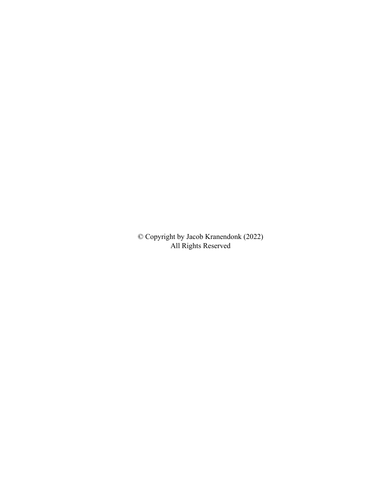© Copyright by Jacob Kranendonk (2022) All Rights Reserved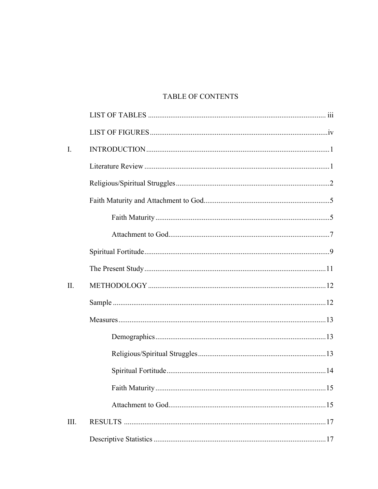# TABLE OF CONTENTS

| $\mathbf{I}$ . |     |
|----------------|-----|
|                |     |
|                |     |
|                |     |
|                |     |
|                |     |
|                |     |
|                |     |
| II.            |     |
|                |     |
|                |     |
|                |     |
|                |     |
|                |     |
|                | .15 |
|                |     |
| Ш.             |     |
|                |     |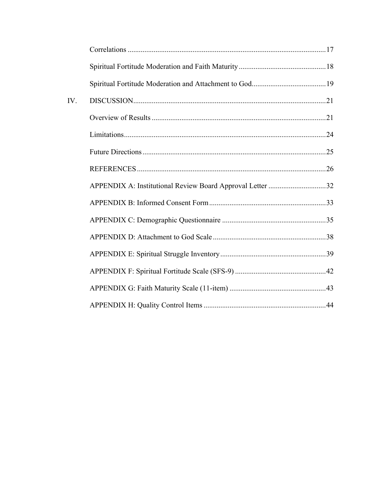| IV. |                                                           |  |
|-----|-----------------------------------------------------------|--|
|     |                                                           |  |
|     |                                                           |  |
|     |                                                           |  |
|     |                                                           |  |
|     | APPENDIX A: Institutional Review Board Approval Letter 32 |  |
|     |                                                           |  |
|     |                                                           |  |
|     |                                                           |  |
|     |                                                           |  |
|     |                                                           |  |
|     |                                                           |  |
|     |                                                           |  |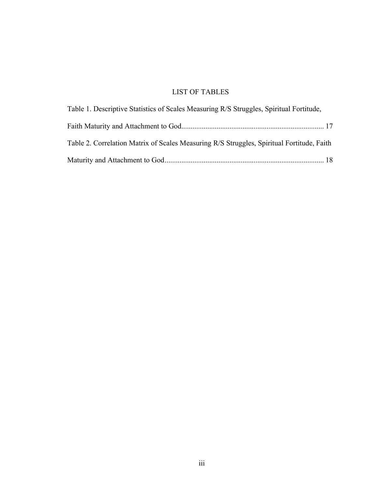# LIST OF TABLES

| Table 1. Descriptive Statistics of Scales Measuring R/S Struggles, Spiritual Fortitude,   |  |
|-------------------------------------------------------------------------------------------|--|
|                                                                                           |  |
| Table 2. Correlation Matrix of Scales Measuring R/S Struggles, Spiritual Fortitude, Faith |  |
|                                                                                           |  |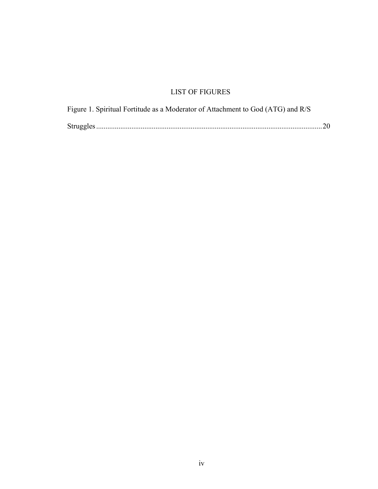# LIST OF FIGURES

| Figure 1. Spiritual Fortitude as a Moderator of Attachment to God (ATG) and R/S |  |
|---------------------------------------------------------------------------------|--|
|                                                                                 |  |
|                                                                                 |  |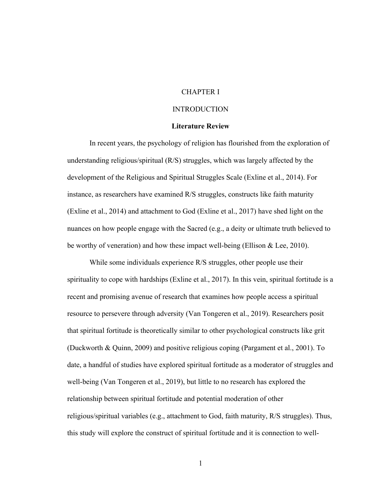## CHAPTER I

#### INTRODUCTION

#### **Literature Review**

In recent years, the psychology of religion has flourished from the exploration of understanding religious/spiritual (R/S) struggles, which was largely affected by the development of the Religious and Spiritual Struggles Scale (Exline et al., 2014). For instance, as researchers have examined R/S struggles, constructs like faith maturity (Exline et al., 2014) and attachment to God (Exline et al., 2017) have shed light on the nuances on how people engage with the Sacred (e.g., a deity or ultimate truth believed to be worthy of veneration) and how these impact well-being (Ellison & Lee, 2010).

While some individuals experience R/S struggles, other people use their spirituality to cope with hardships (Exline et al., 2017). In this vein, spiritual fortitude is a recent and promising avenue of research that examines how people access a spiritual resource to persevere through adversity (Van Tongeren et al., 2019). Researchers posit that spiritual fortitude is theoretically similar to other psychological constructs like grit (Duckworth & Quinn, 2009) and positive religious coping (Pargament et al., 2001). To date, a handful of studies have explored spiritual fortitude as a moderator of struggles and well-being (Van Tongeren et al., 2019), but little to no research has explored the relationship between spiritual fortitude and potential moderation of other religious/spiritual variables (e.g., attachment to God, faith maturity, R/S struggles). Thus, this study will explore the construct of spiritual fortitude and it is connection to well-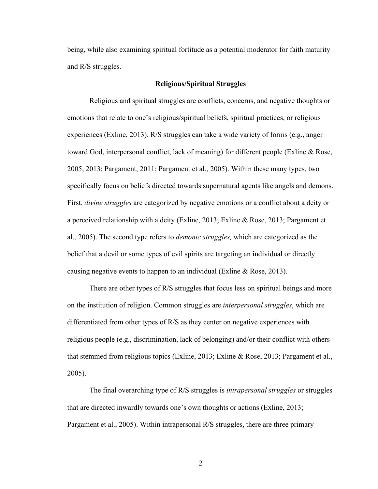being, while also examining spiritual fortitude as a potential moderator for faith maturity and R/S struggles.

#### **Religious/Spiritual Struggles**

Religious and spiritual struggles are conflicts, concerns, and negative thoughts or emotions that relate to one's religious/spiritual beliefs, spiritual practices, or religious experiences (Exline, 2013). R/S struggles can take a wide variety of forms (e.g., anger toward God, interpersonal conflict, lack of meaning) for different people (Exline & Rose, 2005, 2013; Pargament, 2011; Pargament et al., 2005). Within these many types, two specifically focus on beliefs directed towards supernatural agents like angels and demons. First, *divine struggles* are categorized by negative emotions or a conflict about a deity or a perceived relationship with a deity (Exline, 2013; Exline & Rose, 2013; Pargament et al., 2005). The second type refers to *demonic struggles,* which are categorized as the belief that a devil or some types of evil spirits are targeting an individual or directly causing negative events to happen to an individual (Exline & Rose, 2013).

There are other types of R/S struggles that focus less on spiritual beings and more on the institution of religion. Common struggles are *interpersonal struggles*, which are differentiated from other types of R/S as they center on negative experiences with religious people (e.g., discrimination, lack of belonging) and/or their conflict with others that stemmed from religious topics (Exline, 2013; Exline & Rose, 2013; Pargament et al., 2005).

The final overarching type of R/S struggles is *intrapersonal struggles* or struggles that are directed inwardly towards one's own thoughts or actions (Exline, 2013; Pargament et al., 2005). Within intrapersonal R/S struggles, there are three primary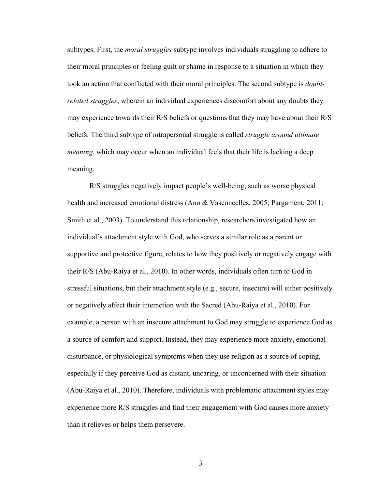subtypes. First, the *moral struggles* subtype involves individuals struggling to adhere to their moral principles or feeling guilt or shame in response to a situation in which they took an action that conflicted with their moral principles. The second subtype is *doubtrelated struggles*, wherein an individual experiences discomfort about any doubts they may experience towards their R/S beliefs or questions that they may have about their R/S beliefs. The third subtype of intrapersonal struggle is called *struggle around ultimate meaning*, which may occur when an individual feels that their life is lacking a deep meaning.

R/S struggles negatively impact people's well-being, such as worse physical health and increased emotional distress (Ano & Vasconcelles, 2005; Pargament, 2011; Smith et al., 2003). To understand this relationship, researchers investigated how an individual's attachment style with God, who serves a similar role as a parent or supportive and protective figure, relates to how they positively or negatively engage with their R/S (Abu-Raiya et al., 2010). In other words, individuals often turn to God in stressful situations, but their attachment style (e.g., secure, insecure) will either positively or negatively affect their interaction with the Sacred (Abu-Raiya et al., 2010). For example, a person with an insecure attachment to God may struggle to experience God as a source of comfort and support. Instead, they may experience more anxiety, emotional disturbance, or physiological symptoms when they use religion as a source of coping, especially if they perceive God as distant, uncaring, or unconcerned with their situation (Abu-Raiya et al., 2010). Therefore, individuals with problematic attachment styles may experience more R/S struggles and find their engagement with God causes more anxiety than it relieves or helps them persevere.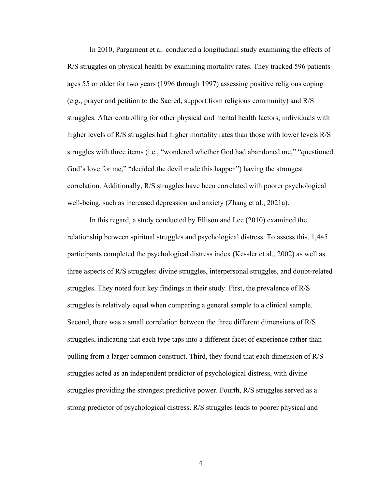In 2010, Pargament et al. conducted a longitudinal study examining the effects of R/S struggles on physical health by examining mortality rates. They tracked 596 patients ages 55 or older for two years (1996 through 1997) assessing positive religious coping (e.g., prayer and petition to the Sacred, support from religious community) and R/S struggles. After controlling for other physical and mental health factors, individuals with higher levels of R/S struggles had higher mortality rates than those with lower levels R/S struggles with three items (i.e., "wondered whether God had abandoned me," "questioned God's love for me," "decided the devil made this happen") having the strongest correlation. Additionally, R/S struggles have been correlated with poorer psychological well-being, such as increased depression and anxiety (Zhang et al., 2021a).

In this regard, a study conducted by Ellison and Lee (2010) examined the relationship between spiritual struggles and psychological distress. To assess this, 1,445 participants completed the psychological distress index (Kessler et al., 2002) as well as three aspects of R/S struggles: divine struggles, interpersonal struggles, and doubt-related struggles. They noted four key findings in their study. First, the prevalence of R/S struggles is relatively equal when comparing a general sample to a clinical sample. Second, there was a small correlation between the three different dimensions of R/S struggles, indicating that each type taps into a different facet of experience rather than pulling from a larger common construct. Third, they found that each dimension of R/S struggles acted as an independent predictor of psychological distress, with divine struggles providing the strongest predictive power. Fourth, R/S struggles served as a strong predictor of psychological distress. R/S struggles leads to poorer physical and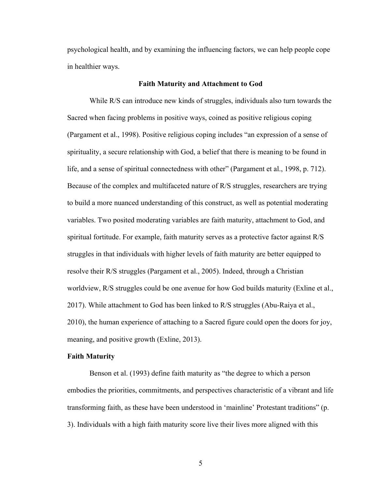psychological health, and by examining the influencing factors, we can help people cope in healthier ways.

#### **Faith Maturity and Attachment to God**

While R/S can introduce new kinds of struggles, individuals also turn towards the Sacred when facing problems in positive ways, coined as positive religious coping (Pargament et al., 1998). Positive religious coping includes "an expression of a sense of spirituality, a secure relationship with God, a belief that there is meaning to be found in life, and a sense of spiritual connectedness with other" (Pargament et al., 1998, p. 712). Because of the complex and multifaceted nature of R/S struggles, researchers are trying to build a more nuanced understanding of this construct, as well as potential moderating variables. Two posited moderating variables are faith maturity, attachment to God, and spiritual fortitude. For example, faith maturity serves as a protective factor against R/S struggles in that individuals with higher levels of faith maturity are better equipped to resolve their R/S struggles (Pargament et al., 2005). Indeed, through a Christian worldview, R/S struggles could be one avenue for how God builds maturity (Exline et al., 2017). While attachment to God has been linked to R/S struggles (Abu-Raiya et al., 2010), the human experience of attaching to a Sacred figure could open the doors for joy, meaning, and positive growth (Exline, 2013).

### **Faith Maturity**

Benson et al. (1993) define faith maturity as "the degree to which a person embodies the priorities, commitments, and perspectives characteristic of a vibrant and life transforming faith, as these have been understood in 'mainline' Protestant traditions" (p. 3). Individuals with a high faith maturity score live their lives more aligned with this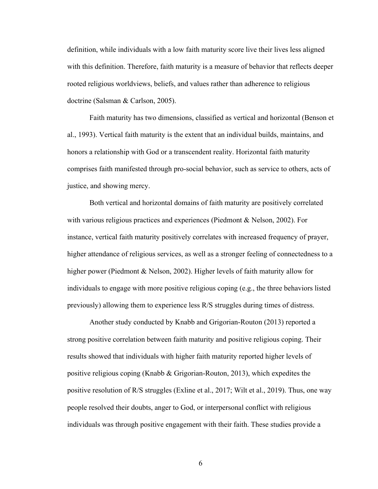definition, while individuals with a low faith maturity score live their lives less aligned with this definition. Therefore, faith maturity is a measure of behavior that reflects deeper rooted religious worldviews, beliefs, and values rather than adherence to religious doctrine (Salsman & Carlson, 2005).

Faith maturity has two dimensions, classified as vertical and horizontal (Benson et al., 1993). Vertical faith maturity is the extent that an individual builds, maintains, and honors a relationship with God or a transcendent reality. Horizontal faith maturity comprises faith manifested through pro-social behavior, such as service to others, acts of justice, and showing mercy.

Both vertical and horizontal domains of faith maturity are positively correlated with various religious practices and experiences (Piedmont & Nelson, 2002). For instance, vertical faith maturity positively correlates with increased frequency of prayer, higher attendance of religious services, as well as a stronger feeling of connectedness to a higher power (Piedmont & Nelson, 2002). Higher levels of faith maturity allow for individuals to engage with more positive religious coping (e.g., the three behaviors listed previously) allowing them to experience less R/S struggles during times of distress.

Another study conducted by Knabb and Grigorian-Routon (2013) reported a strong positive correlation between faith maturity and positive religious coping. Their results showed that individuals with higher faith maturity reported higher levels of positive religious coping (Knabb & Grigorian-Routon, 2013), which expedites the positive resolution of R/S struggles (Exline et al., 2017; Wilt et al., 2019). Thus, one way people resolved their doubts, anger to God, or interpersonal conflict with religious individuals was through positive engagement with their faith. These studies provide a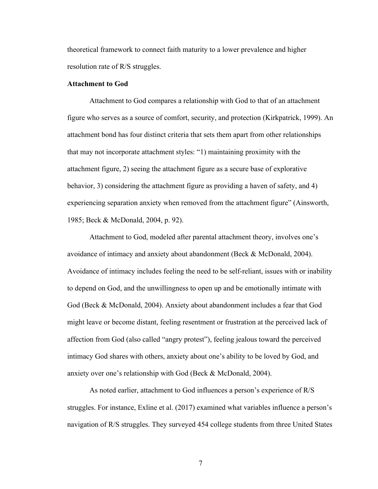theoretical framework to connect faith maturity to a lower prevalence and higher resolution rate of R/S struggles.

#### **Attachment to God**

Attachment to God compares a relationship with God to that of an attachment figure who serves as a source of comfort, security, and protection (Kirkpatrick, 1999). An attachment bond has four distinct criteria that sets them apart from other relationships that may not incorporate attachment styles: "1) maintaining proximity with the attachment figure, 2) seeing the attachment figure as a secure base of explorative behavior, 3) considering the attachment figure as providing a haven of safety, and 4) experiencing separation anxiety when removed from the attachment figure" (Ainsworth, 1985; Beck & McDonald, 2004, p. 92).

Attachment to God, modeled after parental attachment theory, involves one's avoidance of intimacy and anxiety about abandonment (Beck & McDonald, 2004). Avoidance of intimacy includes feeling the need to be self-reliant, issues with or inability to depend on God, and the unwillingness to open up and be emotionally intimate with God (Beck & McDonald, 2004). Anxiety about abandonment includes a fear that God might leave or become distant, feeling resentment or frustration at the perceived lack of affection from God (also called "angry protest"), feeling jealous toward the perceived intimacy God shares with others, anxiety about one's ability to be loved by God, and anxiety over one's relationship with God (Beck & McDonald, 2004).

As noted earlier, attachment to God influences a person's experience of R/S struggles. For instance, Exline et al. (2017) examined what variables influence a person's navigation of R/S struggles. They surveyed 454 college students from three United States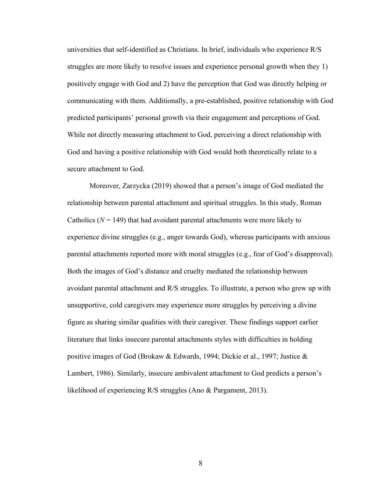universities that self-identified as Christians. In brief, individuals who experience R/S struggles are more likely to resolve issues and experience personal growth when they 1) positively engage with God and 2) have the perception that God was directly helping or communicating with them. Additionally, a pre-established, positive relationship with God predicted participants' personal growth via their engagement and perceptions of God. While not directly measuring attachment to God, perceiving a direct relationship with God and having a positive relationship with God would both theoretically relate to a secure attachment to God.

Moreover, Zarzycka (2019) showed that a person's image of God mediated the relationship between parental attachment and spiritual struggles. In this study, Roman Catholics  $(N = 149)$  that had avoidant parental attachments were more likely to experience divine struggles (e.g., anger towards God), whereas participants with anxious parental attachments reported more with moral struggles (e.g., fear of God's disapproval). Both the images of God's distance and cruelty mediated the relationship between avoidant parental attachment and R/S struggles. To illustrate, a person who grew up with unsupportive, cold caregivers may experience more struggles by perceiving a divine figure as sharing similar qualities with their caregiver. These findings support earlier literature that links insecure parental attachments styles with difficulties in holding positive images of God (Brokaw & Edwards, 1994; Dickie et al., 1997; Justice & Lambert, 1986). Similarly, insecure ambivalent attachment to God predicts a person's likelihood of experiencing R/S struggles (Ano & Pargament, 2013).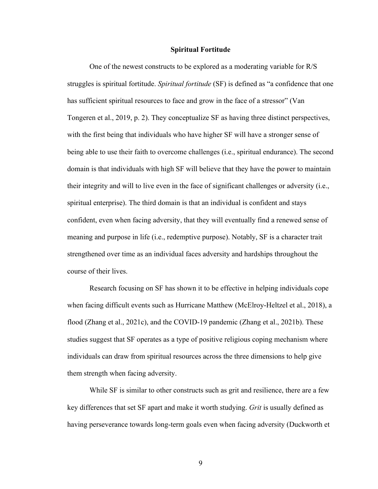#### **Spiritual Fortitude**

One of the newest constructs to be explored as a moderating variable for R/S struggles is spiritual fortitude. *Spiritual fortitude* (SF) is defined as "a confidence that one has sufficient spiritual resources to face and grow in the face of a stressor" (Van Tongeren et al., 2019, p. 2). They conceptualize SF as having three distinct perspectives, with the first being that individuals who have higher SF will have a stronger sense of being able to use their faith to overcome challenges (i.e., spiritual endurance). The second domain is that individuals with high SF will believe that they have the power to maintain their integrity and will to live even in the face of significant challenges or adversity (i.e., spiritual enterprise). The third domain is that an individual is confident and stays confident, even when facing adversity, that they will eventually find a renewed sense of meaning and purpose in life (i.e., redemptive purpose). Notably, SF is a character trait strengthened over time as an individual faces adversity and hardships throughout the course of their lives.

Research focusing on SF has shown it to be effective in helping individuals cope when facing difficult events such as Hurricane Matthew (McElroy-Heltzel et al., 2018), a flood (Zhang et al., 2021c), and the COVID-19 pandemic (Zhang et al., 2021b). These studies suggest that SF operates as a type of positive religious coping mechanism where individuals can draw from spiritual resources across the three dimensions to help give them strength when facing adversity.

While SF is similar to other constructs such as grit and resilience, there are a few key differences that set SF apart and make it worth studying. *Grit* is usually defined as having perseverance towards long-term goals even when facing adversity (Duckworth et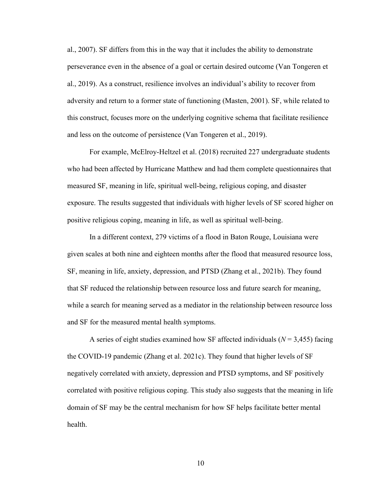al., 2007). SF differs from this in the way that it includes the ability to demonstrate perseverance even in the absence of a goal or certain desired outcome (Van Tongeren et al., 2019). As a construct, resilience involves an individual's ability to recover from adversity and return to a former state of functioning (Masten, 2001). SF, while related to this construct, focuses more on the underlying cognitive schema that facilitate resilience and less on the outcome of persistence (Van Tongeren et al., 2019).

For example, McElroy-Heltzel et al. (2018) recruited 227 undergraduate students who had been affected by Hurricane Matthew and had them complete questionnaires that measured SF, meaning in life, spiritual well-being, religious coping, and disaster exposure. The results suggested that individuals with higher levels of SF scored higher on positive religious coping, meaning in life, as well as spiritual well-being.

In a different context, 279 victims of a flood in Baton Rouge, Louisiana were given scales at both nine and eighteen months after the flood that measured resource loss, SF, meaning in life, anxiety, depression, and PTSD (Zhang et al., 2021b). They found that SF reduced the relationship between resource loss and future search for meaning, while a search for meaning served as a mediator in the relationship between resource loss and SF for the measured mental health symptoms.

A series of eight studies examined how SF affected individuals (*N* = 3,455) facing the COVID-19 pandemic (Zhang et al. 2021c). They found that higher levels of SF negatively correlated with anxiety, depression and PTSD symptoms, and SF positively correlated with positive religious coping. This study also suggests that the meaning in life domain of SF may be the central mechanism for how SF helps facilitate better mental health.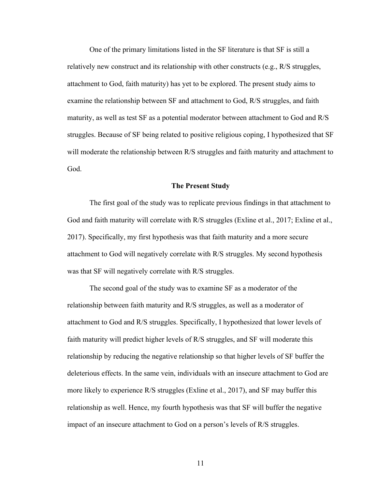One of the primary limitations listed in the SF literature is that SF is still a relatively new construct and its relationship with other constructs (e.g., R/S struggles, attachment to God, faith maturity) has yet to be explored. The present study aims to examine the relationship between SF and attachment to God, R/S struggles, and faith maturity, as well as test SF as a potential moderator between attachment to God and R/S struggles. Because of SF being related to positive religious coping, I hypothesized that SF will moderate the relationship between R/S struggles and faith maturity and attachment to God.

#### **The Present Study**

The first goal of the study was to replicate previous findings in that attachment to God and faith maturity will correlate with R/S struggles (Exline et al., 2017; Exline et al., 2017). Specifically, my first hypothesis was that faith maturity and a more secure attachment to God will negatively correlate with R/S struggles. My second hypothesis was that SF will negatively correlate with R/S struggles.

The second goal of the study was to examine SF as a moderator of the relationship between faith maturity and R/S struggles, as well as a moderator of attachment to God and R/S struggles. Specifically, I hypothesized that lower levels of faith maturity will predict higher levels of R/S struggles, and SF will moderate this relationship by reducing the negative relationship so that higher levels of SF buffer the deleterious effects. In the same vein, individuals with an insecure attachment to God are more likely to experience R/S struggles (Exline et al., 2017), and SF may buffer this relationship as well. Hence, my fourth hypothesis was that SF will buffer the negative impact of an insecure attachment to God on a person's levels of R/S struggles.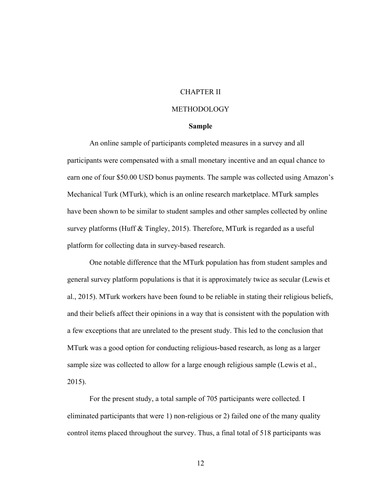## CHAPTER II

## METHODOLOGY

#### **Sample**

An online sample of participants completed measures in a survey and all participants were compensated with a small monetary incentive and an equal chance to earn one of four \$50.00 USD bonus payments. The sample was collected using Amazon's Mechanical Turk (MTurk), which is an online research marketplace. MTurk samples have been shown to be similar to student samples and other samples collected by online survey platforms (Huff & Tingley, 2015). Therefore, MTurk is regarded as a useful platform for collecting data in survey-based research.

One notable difference that the MTurk population has from student samples and general survey platform populations is that it is approximately twice as secular (Lewis et al., 2015). MTurk workers have been found to be reliable in stating their religious beliefs, and their beliefs affect their opinions in a way that is consistent with the population with a few exceptions that are unrelated to the present study. This led to the conclusion that MTurk was a good option for conducting religious-based research, as long as a larger sample size was collected to allow for a large enough religious sample (Lewis et al., 2015).

For the present study, a total sample of 705 participants were collected. I eliminated participants that were 1) non-religious or 2) failed one of the many quality control items placed throughout the survey. Thus, a final total of 518 participants was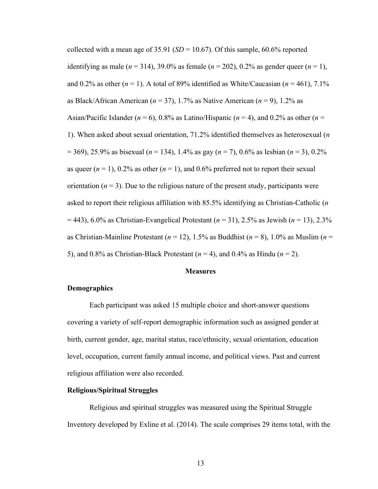collected with a mean age of  $35.91$  (*SD* = 10.67). Of this sample,  $60.6\%$  reported identifying as male ( $n = 314$ ), 39.0% as female ( $n = 202$ ), 0.2% as gender queer ( $n = 1$ ), and 0.2% as other  $(n = 1)$ . A total of 89% identified as White/Caucasian  $(n = 461)$ , 7.1% as Black/African American (*n* = 37), 1.7% as Native American (*n* = 9), 1.2% as Asian/Pacific Islander ( $n = 6$ ), 0.8% as Latino/Hispanic ( $n = 4$ ), and 0.2% as other ( $n = 1$ ) 1). When asked about sexual orientation, 71.2% identified themselves as heterosexual (*n* = 369), 25.9% as bisexual (*n* = 134), 1.4% as gay (*n* = 7), 0.6% as lesbian (*n* = 3), 0.2% as queer  $(n = 1)$ , 0.2% as other  $(n = 1)$ , and 0.6% preferred not to report their sexual orientation  $(n = 3)$ . Due to the religious nature of the present study, participants were asked to report their religious affiliation with 85.5% identifying as Christian-Catholic (*n* = 443), 6.0% as Christian-Evangelical Protestant (*n* = 31), 2.5% as Jewish (*n* = 13), 2.3% as Christian-Mainline Protestant (*n* = 12), 1.5% as Buddhist (*n* = 8), 1.0% as Muslim (*n* = 5), and 0.8% as Christian-Black Protestant (*n* = 4), and 0.4% as Hindu (*n* = 2).

#### **Measures**

## **Demographics**

Each participant was asked 15 multiple choice and short-answer questions covering a variety of self-report demographic information such as assigned gender at birth, current gender, age, marital status, race/ethnicity, sexual orientation, education level, occupation, current family annual income, and political views. Past and current religious affiliation were also recorded.

## **Religious/Spiritual Struggles**

Religious and spiritual struggles was measured using the Spiritual Struggle Inventory developed by Exline et al. (2014). The scale comprises 29 items total, with the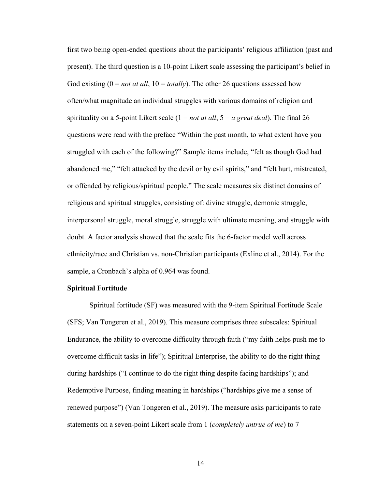first two being open-ended questions about the participants' religious affiliation (past and present). The third question is a 10-point Likert scale assessing the participant's belief in God existing (0 = *not at all*, 10 = *totally*). The other 26 questions assessed how often/what magnitude an individual struggles with various domains of religion and spirituality on a 5-point Likert scale (1 = *not at all*, 5 = *a great deal*). The final 26 questions were read with the preface "Within the past month, to what extent have you struggled with each of the following?" Sample items include, "felt as though God had abandoned me," "felt attacked by the devil or by evil spirits," and "felt hurt, mistreated, or offended by religious/spiritual people." The scale measures six distinct domains of religious and spiritual struggles, consisting of: divine struggle, demonic struggle, interpersonal struggle, moral struggle, struggle with ultimate meaning, and struggle with doubt. A factor analysis showed that the scale fits the 6-factor model well across ethnicity/race and Christian vs. non-Christian participants (Exline et al., 2014). For the sample, a Cronbach's alpha of 0.964 was found.

### **Spiritual Fortitude**

Spiritual fortitude (SF) was measured with the 9-item Spiritual Fortitude Scale (SFS; Van Tongeren et al., 2019). This measure comprises three subscales: Spiritual Endurance, the ability to overcome difficulty through faith ("my faith helps push me to overcome difficult tasks in life"); Spiritual Enterprise, the ability to do the right thing during hardships ("I continue to do the right thing despite facing hardships"); and Redemptive Purpose, finding meaning in hardships ("hardships give me a sense of renewed purpose") (Van Tongeren et al., 2019). The measure asks participants to rate statements on a seven-point Likert scale from 1 (*completely untrue of me*) to 7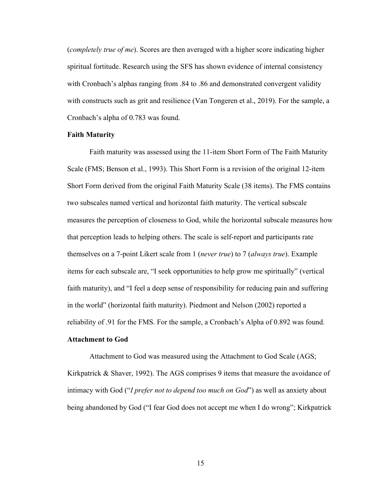(*completely true of me*). Scores are then averaged with a higher score indicating higher spiritual fortitude. Research using the SFS has shown evidence of internal consistency with Cronbach's alphas ranging from .84 to .86 and demonstrated convergent validity with constructs such as grit and resilience (Van Tongeren et al., 2019). For the sample, a Cronbach's alpha of 0.783 was found.

#### **Faith Maturity**

Faith maturity was assessed using the 11-item Short Form of The Faith Maturity Scale (FMS; Benson et al., 1993). This Short Form is a revision of the original 12-item Short Form derived from the original Faith Maturity Scale (38 items). The FMS contains two subscales named vertical and horizontal faith maturity. The vertical subscale measures the perception of closeness to God, while the horizontal subscale measures how that perception leads to helping others. The scale is self-report and participants rate themselves on a 7-point Likert scale from 1 (*never true*) to 7 (*always true*). Example items for each subscale are, "I seek opportunities to help grow me spiritually" (vertical faith maturity), and "I feel a deep sense of responsibility for reducing pain and suffering in the world" (horizontal faith maturity). Piedmont and Nelson (2002) reported a reliability of .91 for the FMS. For the sample, a Cronbach's Alpha of 0.892 was found.

#### **Attachment to God**

Attachment to God was measured using the Attachment to God Scale (AGS; Kirkpatrick & Shaver, 1992). The AGS comprises 9 items that measure the avoidance of intimacy with God ("*I prefer not to depend too much on God*") as well as anxiety about being abandoned by God ("I fear God does not accept me when I do wrong"; Kirkpatrick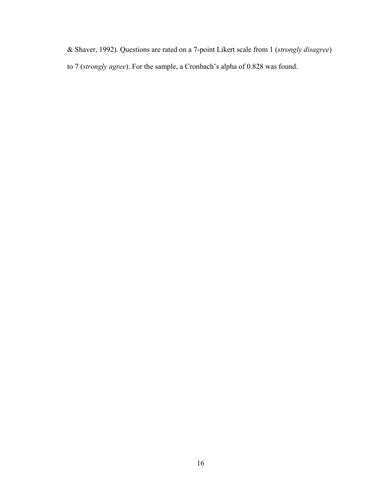& Shaver, 1992). Questions are rated on a 7-point Likert scale from 1 (*strongly disagree*)

to 7 (*strongly agree*). For the sample, a Cronbach's alpha of 0.828 was found.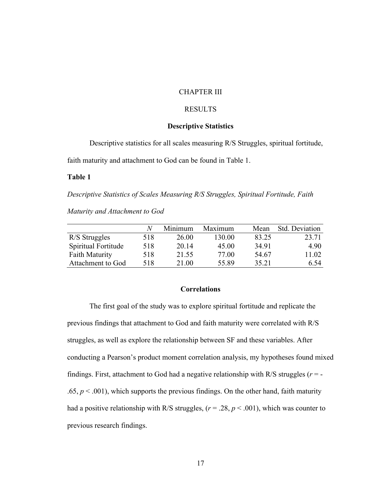## CHAPTER III

## RESULTS

## **Descriptive Statistics**

Descriptive statistics for all scales measuring R/S Struggles, spiritual fortitude,

faith maturity and attachment to God can be found in Table 1.

## **Table 1**

*Descriptive Statistics of Scales Measuring R/S Struggles, Spiritual Fortitude, Faith* 

*Maturity and Attachment to God*

|                     |     | Minimum | Maximum | Mean  | Std. Deviation |
|---------------------|-----|---------|---------|-------|----------------|
| R/S Struggles       | 518 | 26.00   | 130.00  | 83.25 | 23.71          |
| Spiritual Fortitude | 518 | 20.14   | 45.00   | 34.91 | 4.90           |
| Faith Maturity      | 518 | 21.55   | 77.00   | 54.67 | 11.02          |
| Attachment to God   | 518 | 21.00   | 55.89   | 35.21 | 6.54           |

## **Correlations**

The first goal of the study was to explore spiritual fortitude and replicate the previous findings that attachment to God and faith maturity were correlated with R/S struggles, as well as explore the relationship between SF and these variables. After conducting a Pearson's product moment correlation analysis, my hypotheses found mixed findings. First, attachment to God had a negative relationship with R/S struggles (*r* = - .65,  $p < .001$ ), which supports the previous findings. On the other hand, faith maturity had a positive relationship with R/S struggles, (*r* = .28, *p* < .001), which was counter to previous research findings.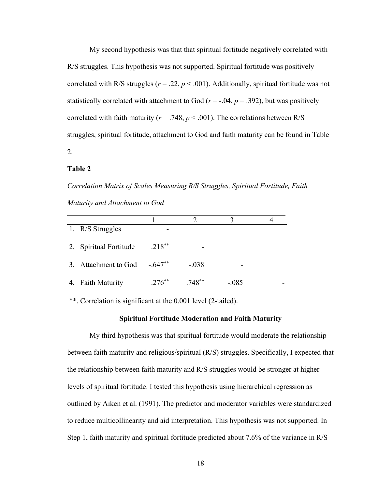My second hypothesis was that that spiritual fortitude negatively correlated with R/S struggles. This hypothesis was not supported. Spiritual fortitude was positively correlated with R/S struggles ( $r = .22$ ,  $p < .001$ ). Additionally, spiritual fortitude was not statistically correlated with attachment to God ( $r = -0.04$ ,  $p = 0.392$ ), but was positively correlated with faith maturity ( $r = .748$ ,  $p < .001$ ). The correlations between R/S struggles, spiritual fortitude, attachment to God and faith maturity can be found in Table 2.

#### **Table 2**

*Correlation Matrix of Scales Measuring R/S Struggles, Spiritual Fortitude, Faith Maturity and Attachment to God*

| 1. R/S Struggles       |           |           |         |  |
|------------------------|-----------|-----------|---------|--|
| 2. Spiritual Fortitude | $.218***$ |           |         |  |
| 3. Attachment to God   | $-.647**$ | $-.038$   |         |  |
| 4. Faith Maturity      | $.276***$ | $.748***$ | $-.085$ |  |

\*\*. Correlation is significant at the 0.001 level (2-tailed).

#### **Spiritual Fortitude Moderation and Faith Maturity**

My third hypothesis was that spiritual fortitude would moderate the relationship between faith maturity and religious/spiritual (R/S) struggles. Specifically, I expected that the relationship between faith maturity and R/S struggles would be stronger at higher levels of spiritual fortitude. I tested this hypothesis using hierarchical regression as outlined by Aiken et al. (1991). The predictor and moderator variables were standardized to reduce multicollinearity and aid interpretation. This hypothesis was not supported. In Step 1, faith maturity and spiritual fortitude predicted about 7.6% of the variance in R/S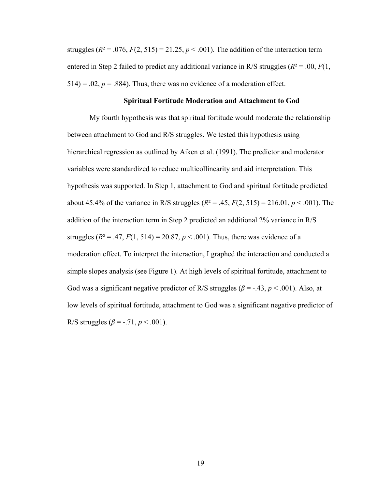struggles  $(R^2 = .076, F(2, 515) = 21.25, p < .001)$ . The addition of the interaction term entered in Step 2 failed to predict any additional variance in R/S struggles ( $R^2 = .00, F(1, 1)$  $514$ ) = .02,  $p = .884$ ). Thus, there was no evidence of a moderation effect.

## **Spiritual Fortitude Moderation and Attachment to God**

My fourth hypothesis was that spiritual fortitude would moderate the relationship between attachment to God and R/S struggles. We tested this hypothesis using hierarchical regression as outlined by Aiken et al. (1991). The predictor and moderator variables were standardized to reduce multicollinearity and aid interpretation. This hypothesis was supported. In Step 1, attachment to God and spiritual fortitude predicted about 45.4% of the variance in R/S struggles  $(R^2 = .45, F(2, 515) = 216.01, p < .001)$ . The addition of the interaction term in Step 2 predicted an additional 2% variance in R/S struggles ( $R^2 = .47, F(1, 514) = 20.87, p < .001$ ). Thus, there was evidence of a moderation effect. To interpret the interaction, I graphed the interaction and conducted a simple slopes analysis (see Figure 1). At high levels of spiritual fortitude, attachment to God was a significant negative predictor of R/S struggles ( $\beta$  = -.43,  $p$  < .001). Also, at low levels of spiritual fortitude, attachment to God was a significant negative predictor of R/S struggles ( $\beta$  = -.71,  $p < .001$ ).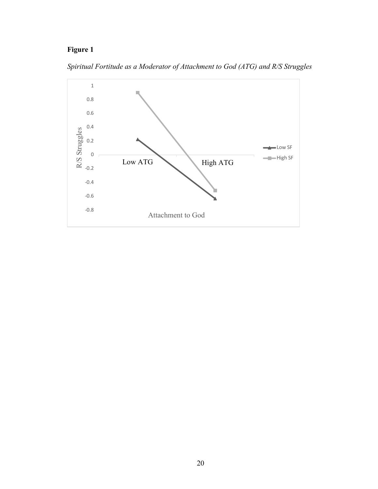# **Figure 1**

*Spiritual Fortitude as a Moderator of Attachment to God (ATG) and R/S Struggles*

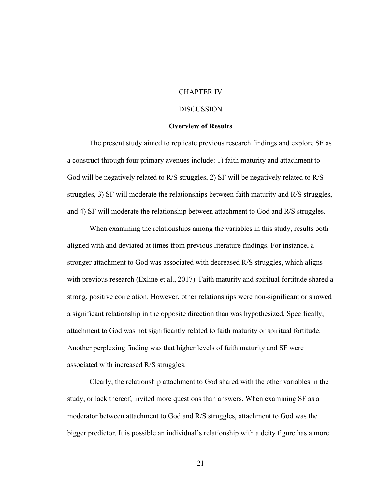## CHAPTER IV

#### DISCUSSION

#### **Overview of Results**

The present study aimed to replicate previous research findings and explore SF as a construct through four primary avenues include: 1) faith maturity and attachment to God will be negatively related to R/S struggles, 2) SF will be negatively related to R/S struggles, 3) SF will moderate the relationships between faith maturity and R/S struggles, and 4) SF will moderate the relationship between attachment to God and R/S struggles.

When examining the relationships among the variables in this study, results both aligned with and deviated at times from previous literature findings. For instance, a stronger attachment to God was associated with decreased R/S struggles, which aligns with previous research (Exline et al., 2017). Faith maturity and spiritual fortitude shared a strong, positive correlation. However, other relationships were non-significant or showed a significant relationship in the opposite direction than was hypothesized. Specifically, attachment to God was not significantly related to faith maturity or spiritual fortitude. Another perplexing finding was that higher levels of faith maturity and SF were associated with increased R/S struggles.

Clearly, the relationship attachment to God shared with the other variables in the study, or lack thereof, invited more questions than answers. When examining SF as a moderator between attachment to God and R/S struggles, attachment to God was the bigger predictor. It is possible an individual's relationship with a deity figure has a more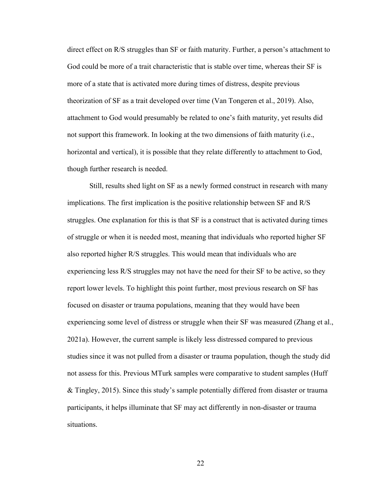direct effect on R/S struggles than SF or faith maturity. Further, a person's attachment to God could be more of a trait characteristic that is stable over time, whereas their SF is more of a state that is activated more during times of distress, despite previous theorization of SF as a trait developed over time (Van Tongeren et al., 2019). Also, attachment to God would presumably be related to one's faith maturity, yet results did not support this framework. In looking at the two dimensions of faith maturity (i.e., horizontal and vertical), it is possible that they relate differently to attachment to God, though further research is needed.

Still, results shed light on SF as a newly formed construct in research with many implications. The first implication is the positive relationship between SF and R/S struggles. One explanation for this is that SF is a construct that is activated during times of struggle or when it is needed most, meaning that individuals who reported higher SF also reported higher R/S struggles. This would mean that individuals who are experiencing less R/S struggles may not have the need for their SF to be active, so they report lower levels. To highlight this point further, most previous research on SF has focused on disaster or trauma populations, meaning that they would have been experiencing some level of distress or struggle when their SF was measured (Zhang et al., 2021a). However, the current sample is likely less distressed compared to previous studies since it was not pulled from a disaster or trauma population, though the study did not assess for this. Previous MTurk samples were comparative to student samples (Huff & Tingley, 2015). Since this study's sample potentially differed from disaster or trauma participants, it helps illuminate that SF may act differently in non-disaster or trauma situations.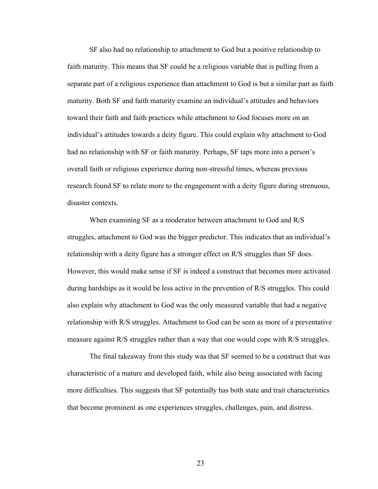SF also had no relationship to attachment to God but a positive relationship to faith maturity. This means that SF could be a religious variable that is pulling from a separate part of a religious experience than attachment to God is but a similar part as faith maturity. Both SF and faith maturity examine an individual's attitudes and behaviors toward their faith and faith practices while attachment to God focuses more on an individual's attitudes towards a deity figure. This could explain why attachment to God had no relationship with SF or faith maturity. Perhaps, SF taps more into a person's overall faith or religious experience during non-stressful times, whereas previous research found SF to relate more to the engagement with a deity figure during strenuous, disaster contexts.

When examining SF as a moderator between attachment to God and R/S struggles, attachment to God was the bigger predictor. This indicates that an individual's relationship with a deity figure has a stronger effect on R/S struggles than SF does. However, this would make sense if SF is indeed a construct that becomes more activated during hardships as it would be less active in the prevention of R/S struggles. This could also explain why attachment to God was the only measured variable that had a negative relationship with R/S struggles. Attachment to God can be seen as more of a preventative measure against R/S struggles rather than a way that one would cope with R/S struggles.

The final takeaway from this study was that SF seemed to be a construct that was characteristic of a mature and developed faith, while also being associated with facing more difficulties. This suggests that SF potentially has both state and trait characteristics that become prominent as one experiences struggles, challenges, pain, and distress.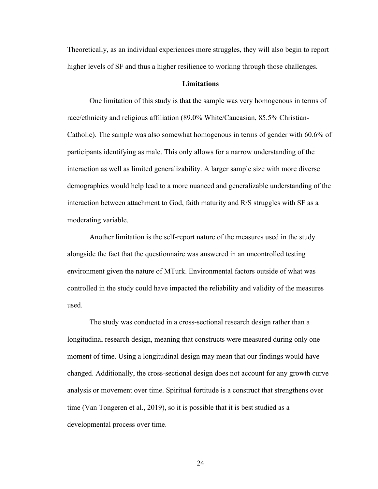Theoretically, as an individual experiences more struggles, they will also begin to report higher levels of SF and thus a higher resilience to working through those challenges.

#### **Limitations**

One limitation of this study is that the sample was very homogenous in terms of race/ethnicity and religious affiliation (89.0% White/Caucasian, 85.5% Christian-Catholic). The sample was also somewhat homogenous in terms of gender with 60.6% of participants identifying as male. This only allows for a narrow understanding of the interaction as well as limited generalizability. A larger sample size with more diverse demographics would help lead to a more nuanced and generalizable understanding of the interaction between attachment to God, faith maturity and R/S struggles with SF as a moderating variable.

Another limitation is the self-report nature of the measures used in the study alongside the fact that the questionnaire was answered in an uncontrolled testing environment given the nature of MTurk. Environmental factors outside of what was controlled in the study could have impacted the reliability and validity of the measures used.

The study was conducted in a cross-sectional research design rather than a longitudinal research design, meaning that constructs were measured during only one moment of time. Using a longitudinal design may mean that our findings would have changed. Additionally, the cross-sectional design does not account for any growth curve analysis or movement over time. Spiritual fortitude is a construct that strengthens over time (Van Tongeren et al., 2019), so it is possible that it is best studied as a developmental process over time.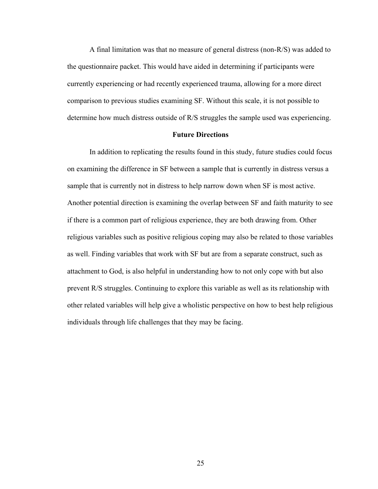A final limitation was that no measure of general distress (non-R/S) was added to the questionnaire packet. This would have aided in determining if participants were currently experiencing or had recently experienced trauma, allowing for a more direct comparison to previous studies examining SF. Without this scale, it is not possible to determine how much distress outside of R/S struggles the sample used was experiencing.

#### **Future Directions**

In addition to replicating the results found in this study, future studies could focus on examining the difference in SF between a sample that is currently in distress versus a sample that is currently not in distress to help narrow down when SF is most active. Another potential direction is examining the overlap between SF and faith maturity to see if there is a common part of religious experience, they are both drawing from. Other religious variables such as positive religious coping may also be related to those variables as well. Finding variables that work with SF but are from a separate construct, such as attachment to God, is also helpful in understanding how to not only cope with but also prevent R/S struggles. Continuing to explore this variable as well as its relationship with other related variables will help give a wholistic perspective on how to best help religious individuals through life challenges that they may be facing.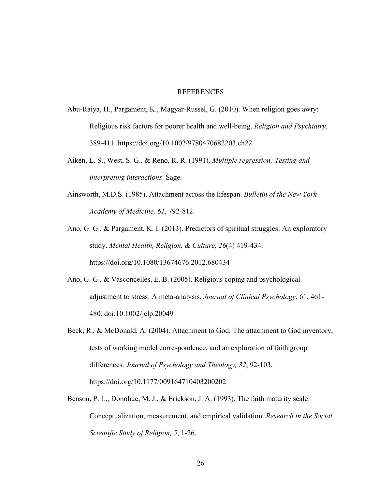## **REFERENCES**

- Abu-Raiya, H., Pargament, K., Magyar-Russel, G. (2010). When religion goes awry: Religious risk factors for poorer health and well-being. *Religion and Psychiatry*. 389-411. https://doi.org/10.1002/9780470682203.ch22
- Aiken, L. S., West, S. G., & Reno, R. R. (1991). *Multiple regression: Testing and interpreting interactions*. Sage.
- Ainsworth, M.D.S. (1985). Attachment across the lifespan. *Bulletin of the New York Academy of Medicine, 61*, 792-812.
- Ano, G. G., & Pargament, K. I. (2013). Predictors of spiritual struggles: An exploratory study. *Mental Health, Religion, & Culture, 26*(4) 419-434. https://doi.org/10.1080/13674676.2012.680434
- Ano, G. G., & Vasconcelles, E. B. (2005). Religious coping and psychological adjustment to stress: A meta-analysis. *Journal of Clinical Psychology*, 61, 461- 480. doi:10.1002/jclp.20049
- Beck, R., & McDonald, A. (2004). Attachment to God: The attachment to God inventory, tests of working model correspondence, and an exploration of faith group differences. *Journal of Psychology and Theology, 32*, 92-103. https://doi.org/10.1177/009164710403200202
- Benson, P. L., Donohue, M. J., & Erickson, J. A. (1993). The faith maturity scale: Conceptualization, measurement, and empirical validation. *Research in the Social Scientific Study of Religion, 5*, 1-26.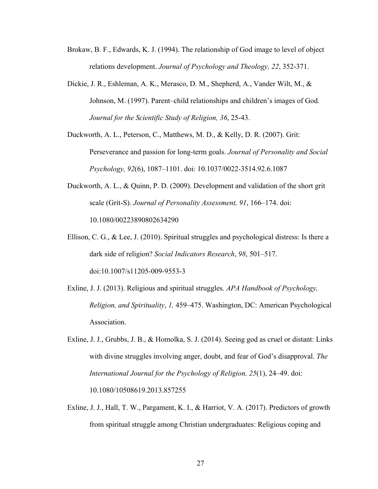- Brokaw, B. F., Edwards, K. J. (1994). The relationship of God image to level of object relations development. *Journal of Psychology and Theology, 22*, 352-371.
- Dickie, J. R., Eshleman, A. K., Merasco, D. M., Shepherd, A., Vander Wilt, M., & Johnson, M. (1997). Parent–child relationships and children's images of God. *Journal for the Scientific Study of Religion, 36*, 25-43.
- Duckworth, A. L., Peterson, C., Matthews, M. D., & Kelly, D. R. (2007). Grit: Perseverance and passion for long-term goals. *Journal of Personality and Social Psychology, 92*(6), 1087–1101. doi: 10.1037/0022-3514.92.6.1087
- Duckworth, A. L., & Quinn, P. D. (2009). Development and validation of the short grit scale (Grit-S). *Journal of Personality Assessment, 91*, 166–174. doi: 10.1080/00223890802634290
- Ellison, C. G., & Lee, J. (2010). Spiritual struggles and psychological distress: Is there a dark side of religion? *Social Indicators Research*, *98*, 501–517. doi:10.1007/s11205-009-9553-3
- Exline, J. J. (2013). Religious and spiritual struggles. *APA Handbook of Psychology, Religion, and Spirituality*, *1,* 459–475. Washington, DC: American Psychological Association.
- Exline, J. J., Grubbs, J. B., & Homolka, S. J. (2014). Seeing god as cruel or distant: Links with divine struggles involving anger, doubt, and fear of God's disapproval. *The International Journal for the Psychology of Religion, 25*(1), 24–49. doi: 10.1080/10508619.2013.857255
- Exline, J. J., Hall, T. W., Pargament, K. I., & Harriot, V. A. (2017). Predictors of growth from spiritual struggle among Christian undergraduates: Religious coping and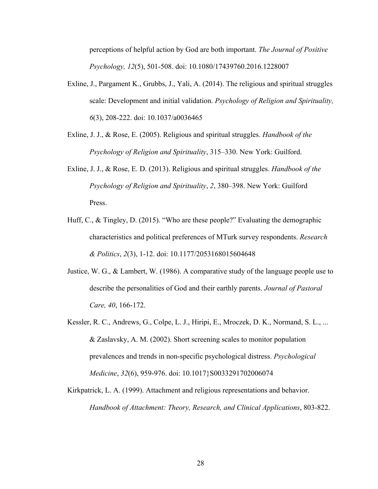perceptions of helpful action by God are both important. *The Journal of Positive Psychology, 12*(5), 501-508. doi: 10.1080/17439760.2016.1228007

- Exline, J., Pargament K., Grubbs, J., Yali, A. (2014). The religious and spiritual struggles scale: Development and initial validation. *Psychology of Religion and Spirituality, 6*(3), 208-222. doi: 10.1037/a0036465
- Exline, J. J., & Rose, E. (2005). Religious and spiritual struggles. *Handbook of the Psychology of Religion and Spirituality*, 315–330. New York: Guilford.
- Exline, J. J., & Rose, E. D. (2013). Religious and spiritual struggles. *Handbook of the Psychology of Religion and Spirituality*, *2*, 380–398. New York: Guilford Press.
- Huff, C., & Tingley, D. (2015). "Who are these people?" Evaluating the demographic characteristics and political preferences of MTurk survey respondents. *Research & Politics*, *2*(3), 1-12. doi: 10.1177/2053168015604648
- Justice, W. G., & Lambert, W. (1986). A comparative study of the language people use to describe the personalities of God and their earthly parents. *Journal of Pastoral Care, 40*, 166-172.
- Kessler, R. C., Andrews, G., Colpe, L. J., Hiripi, E., Mroczek, D. K., Normand, S. L., ... & Zaslavsky, A. M. (2002). Short screening scales to monitor population prevalences and trends in non-specific psychological distress. *Psychological Medicine*, 32(6), 959-976. doi: 10.1017}S0033291702006074
- Kirkpatrick, L. A. (1999). Attachment and religious representations and behavior. *Handbook of Attachment: Theory, Research, and Clinical Applications*, 803-822.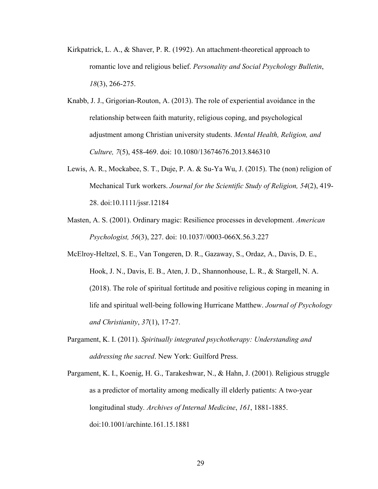- Kirkpatrick, L. A., & Shaver, P. R. (1992). An attachment-theoretical approach to romantic love and religious belief. *Personality and Social Psychology Bulletin*, *18*(3), 266-275.
- Knabb, J. J., Grigorian-Routon, A. (2013). The role of experiential avoidance in the relationship between faith maturity, religious coping, and psychological adjustment among Christian university students. *Mental Health, Religion, and Culture, 7*(5), 458-469. doi: 10.1080/13674676.2013.846310
- Lewis, A. R., Mockabee, S. T., Duje, P. A. & Su-Ya Wu, J. (2015). The (non) religion of Mechanical Turk workers. *Journal for the Scientific Study of Religion, 54*(2), 419- 28. doi:10.1111/jssr.12184
- Masten, A. S. (2001). Ordinary magic: Resilience processes in development. *American Psychologist, 56*(3), 227. doi: 10.1037//0003-066X.56.3.227
- McElroy-Heltzel, S. E., Van Tongeren, D. R., Gazaway, S., Ordaz, A., Davis, D. E., Hook, J. N., Davis, E. B., Aten, J. D., Shannonhouse, L. R., & Stargell, N. A. (2018). The role of spiritual fortitude and positive religious coping in meaning in life and spiritual well-being following Hurricane Matthew. *Journal of Psychology and Christianity*, *37*(1), 17-27.
- Pargament, K. I. (2011). *Spiritually integrated psychotherapy: Understanding and addressing the sacred*. New York: Guilford Press.
- Pargament, K. I., Koenig, H. G., Tarakeshwar, N., & Hahn, J. (2001). Religious struggle as a predictor of mortality among medically ill elderly patients: A two-year longitudinal study*. Archives of Internal Medicine*, *161*, 1881-1885. doi:10.1001/archinte.161.15.1881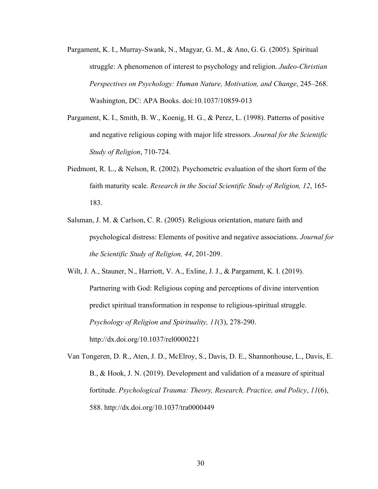- Pargament, K. I., Murray-Swank, N., Magyar, G. M., & Ano, G. G. (2005). Spiritual struggle: A phenomenon of interest to psychology and religion. *Judeo-Christian Perspectives on Psychology: Human Nature, Motivation, and Change*, 245–268. Washington, DC: APA Books. doi:10.1037/10859-013
- Pargament, K. I., Smith, B. W., Koenig, H. G., & Perez, L. (1998). Patterns of positive and negative religious coping with major life stressors. *Journal for the Scientific Study of Religion*, 710-724.
- Piedmont, R. L., & Nelson, R. (2002). Psychometric evaluation of the short form of the faith maturity scale. *Research in the Social Scientific Study of Religion, 12*, 165- 183.
- Salsman, J. M. & Carlson, C. R. (2005). Religious orientation, mature faith and psychological distress: Elements of positive and negative associations. *Journal for the Scientific Study of Religion, 44*, 201-209.

Wilt, J. A., Stauner, N., Harriott, V. A., Exline, J. J., & Pargament, K. I. (2019). Partnering with God: Religious coping and perceptions of divine intervention predict spiritual transformation in response to religious-spiritual struggle. *Psychology of Religion and Spirituality, 11*(3), 278-290. http://dx.doi.org/10.1037/rel0000221

Van Tongeren, D. R., Aten, J. D., McElroy, S., Davis, D. E., Shannonhouse, L., Davis, E. B., & Hook, J. N. (2019). Development and validation of a measure of spiritual fortitude. *Psychological Trauma: Theory, Research, Practice, and Policy*, *11*(6), 588. http://dx.doi.org/10.1037/tra0000449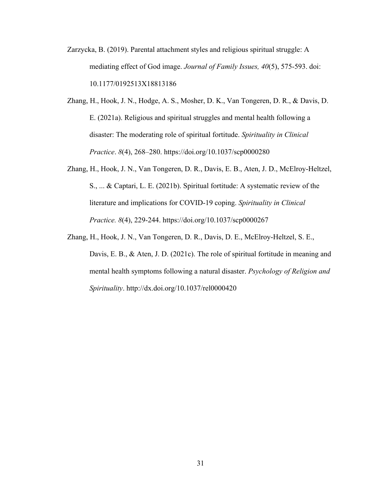- Zarzycka, B. (2019). Parental attachment styles and religious spiritual struggle: A mediating effect of God image. *Journal of Family Issues, 40*(5), 575-593. doi: 10.1177/0192513X18813186
- Zhang, H., Hook, J. N., Hodge, A. S., Mosher, D. K., Van Tongeren, D. R., & Davis, D. E. (2021a). Religious and spiritual struggles and mental health following a disaster: The moderating role of spiritual fortitude. *Spirituality in Clinical Practice*. *8*(4), 268–280. https://doi.org/10.1037/scp0000280
- Zhang, H., Hook, J. N., Van Tongeren, D. R., Davis, E. B., Aten, J. D., McElroy-Heltzel, S., ... & Captari, L. E. (2021b). Spiritual fortitude: A systematic review of the literature and implications for COVID-19 coping. *Spirituality in Clinical Practice. 8*(4), 229-244. https://doi.org/10.1037/scp0000267
- Zhang, H., Hook, J. N., Van Tongeren, D. R., Davis, D. E., McElroy-Heltzel, S. E., Davis, E. B., & Aten, J. D. (2021c). The role of spiritual fortitude in meaning and mental health symptoms following a natural disaster. *Psychology of Religion and Spirituality*. http://dx.doi.org/10.1037/rel0000420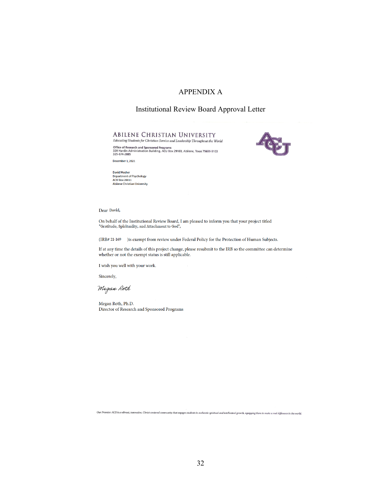## APPENDIX A

## Institutional Review Board Approval Letter

#### **ABILENE CHRISTIAN UNIVERSITY** Educating Students for Christian Service and Leadership Throughout the World

Office of Research and Sponsored Programs<br>320 Hardin Administration Building, ACU Box 29103, Abilene, Texas 79699-9103<br>325-674-2885



December 1, 2021

David Mosher<br>Department of Psychology<br>ACU Box 28011 ACO BOX 28011<br>Abilene Christian University

Dear David,

On behalf of the Institutional Review Board, I am pleased to inform you that your project titled "Gratitude, Spirituality, and Attachment to God",

(IRB# 21-169 ) is exempt from review under Federal Policy for the Protection of Human Subjects.

If at any time the details of this project change, please resubmit to the IRB so the committee can determine whether or not the exempt status is still applicable.

I wish you well with your work.

Sincerely,

Megan Roth

Megan Roth, Ph.D. Director of Research and Sponsored Programs

Our Promise: ACU is a vibrant, innovative, Christ-centered community that engages students in authentic spiritual and intellectual growth, equipping them to make a real difference in the world.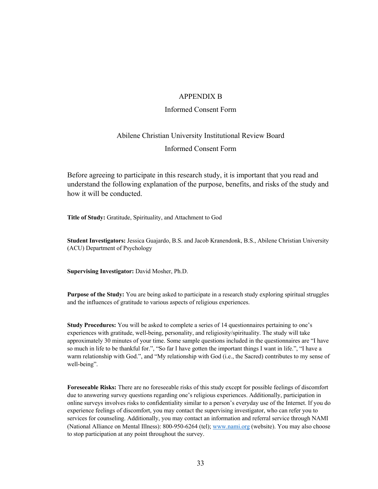#### APPENDIX B

#### Informed Consent Form

# Abilene Christian University Institutional Review Board Informed Consent Form

Before agreeing to participate in this research study, it is important that you read and understand the following explanation of the purpose, benefits, and risks of the study and how it will be conducted.

**Title of Study:** Gratitude, Spirituality, and Attachment to God

**Student Investigators:** Jessica Guajardo, B.S. and Jacob Kranendonk, B.S., Abilene Christian University (ACU) Department of Psychology

**Supervising Investigator:** David Mosher, Ph.D.

**Purpose of the Study:** You are being asked to participate in a research study exploring spiritual struggles and the influences of gratitude to various aspects of religious experiences.

**Study Procedures:** You will be asked to complete a series of 14 questionnaires pertaining to one's experiences with gratitude, well-being, personality, and religiosity/spirituality. The study will take approximately 30 minutes of your time. Some sample questions included in the questionnaires are "I have so much in life to be thankful for.", "So far I have gotten the important things I want in life.", "I have a warm relationship with God.", and "My relationship with God (i.e., the Sacred) contributes to my sense of well-being".

**Foreseeable Risks:** There are no foreseeable risks of this study except for possible feelings of discomfort due to answering survey questions regarding one's religious experiences. Additionally, participation in online surveys involves risks to confidentiality similar to a person's everyday use of the Internet. If you do experience feelings of discomfort, you may contact the supervising investigator, who can refer you to services for counseling. Additionally, you may contact an information and referral service through NAMI (National Alliance on Mental Illness): 800-950-6264 (tel); www.nami.org (website). You may also choose to stop participation at any point throughout the survey.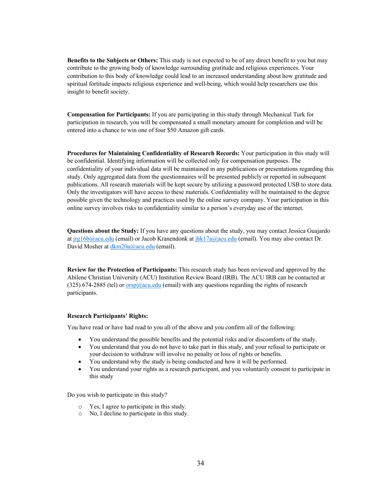**Benefits to the Subjects or Others:** This study is not expected to be of any direct benefit to you but may contribute to the growing body of knowledge surrounding gratitude and religious experiences. Your contribution to this body of knowledge could lead to an increased understanding about how gratitude and spiritual fortitude impacts religious experience and well-being, which would help researchers use this insight to benefit society.

**Compensation for Participants:** If you are participating in this study through Mechanical Turk for participation in research, you will be compensated a small monetary amount for completion and will be entered into a chance to win one of four \$50 Amazon gift cards.

**Procedures for Maintaining Confidentiality of Research Records:** Your participation in this study will be confidential. Identifying information will be collected only for compensation purposes. The confidentiality of your individual data will be maintained in any publications or presentations regarding this study. Only aggregated data from the questionnaires will be presented publicly or reported in subsequent publications. All research materials will be kept secure by utilizing a password protected USB to store data. Only the investigators will have access to these materials. Confidentiality will be maintained to the degree possible given the technology and practices used by the online survey company. Your participation in this online survey involves risks to confidentiality similar to a person's everyday use of the internet.

**Questions about the Study:** If you have any questions about the study, you may contact Jessica Guajardo at jrg16b@acu.edu (email) or Jacob Kranendonk at jhk17a@acu.edu (email). You may also contact Dr. David Mosher at dkm20a@acu.edu (email).

**Review for the Protection of Participants:** This research study has been reviewed and approved by the Abilene Christian University (ACU) Institution Review Board (IRB). The ACU IRB can be contacted at (325) 674-2885 (tel) or  $\frac{\text{orsp}(\partial_{\text{acu.edu}})}{\text{cumail}}$  with any questions regarding the rights of research participants.

#### **Research Participants' Rights:**

You have read or have had read to you all of the above and you confirm all of the following:

- You understand the possible benefits and the potential risks and/or discomforts of the study.
- You understand that you do not have to take part in this study, and your refusal to participate or your decision to withdraw will involve no penalty or loss of rights or benefits.
- You understand why the study is being conducted and how it will be performed.
- You understand your rights as a research participant, and you voluntarily consent to participate in this study

Do you wish to participate in this study?

- o Yes, I agree to participate in this study.
- o No, I decline to participate in this study.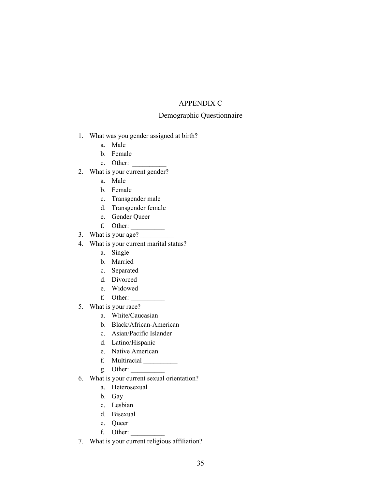## APPENDIX C

## Demographic Questionnaire

- 1. What was you gender assigned at birth?
	- a. Male
	- b. Female
	- c. Other:
- 2. What is your current gender?
	- a. Male
	- b. Female
	- c. Transgender male
	- d. Transgender female
	- e. Gender Queer
	- f. Other: \_\_\_\_\_\_\_\_\_\_
- 3. What is your age?
- 4. What is your current marital status?
	- a. Single
	- b. Married
	- c. Separated
	- d. Divorced
	- e. Widowed
	- f. Other: \_\_\_\_\_\_\_\_\_\_
- 5. What is your race?
	- a. White/Caucasian
	- b. Black/African-American
	- c. Asian/Pacific Islander
	- d. Latino/Hispanic
	- e. Native American
	- f. Multiracial \_\_\_\_\_\_\_\_\_\_
	- g. Other:  $\overline{\phantom{a}}$
- 6. What is your current sexual orientation?
	- a. Heterosexual
	- b. Gay
	- c. Lesbian
	- d. Bisexual
	- e. Queer
	- f. Other: \_\_\_\_\_\_\_\_\_\_
- 7. What is your current religious affiliation?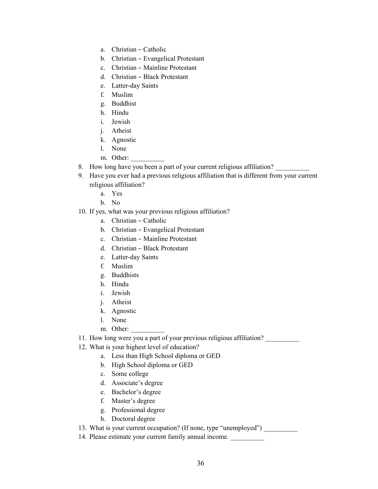- a. Christian Catholic
- b. Christian Evangelical Protestant
- c. Christian Mainline Protestant
- d. Christian Black Protestant
- e. Latter-day Saints
- f. Muslim
- g. Buddhist
- h. Hindu
- i. Jewish
- j. Atheist
- k. Agnostic
- l. None
- m. Other:
- 8. How long have you been a part of your current religious affiliation?
- 9. Have you ever had a previous religious affiliation that is different from your current religious affiliation?
	- a. Yes
	- b. No
- 10. If yes, what was your previous religious affiliation?
	- a. Christian Catholic
	- b. Christian Evangelical Protestant
	- c. Christian Mainline Protestant
	- d. Christian Black Protestant
	- e. Latter-day Saints
	- f. Muslim
	- g. Buddhists
	- h. Hindu
	- i. Jewish
	- j. Atheist
	- k. Agnostic
	- l. None
	- m. Other:
- 11. How long were you a part of your previous religious affiliation?
- 12. What is your highest level of education?
	- a. Less than High School diploma or GED
	- b. High School diploma or GED
	- c. Some college
	- d. Associate's degree
	- e. Bachelor's degree
	- f. Master's degree
	- g. Professional degree
	- h. Doctoral degree

13. What is your current occupation? (If none, type "unemployed")

14. Please estimate your current family annual income.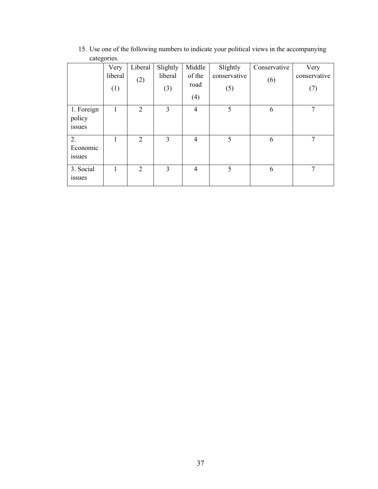|                                | Very<br>liberal<br>(1) | Liberal<br>(2) | Slightly<br>liberal<br>(3) | Middle<br>of the<br>road<br>(4) | Slightly<br>conservative<br>(5) | Conservative<br>(6) | Very<br>conservative<br>(7) |
|--------------------------------|------------------------|----------------|----------------------------|---------------------------------|---------------------------------|---------------------|-----------------------------|
| 1. Foreign<br>policy<br>issues | 1                      | $\overline{2}$ | 3                          | $\overline{4}$                  | 5                               | 6                   | 7                           |
| 2.<br>Economic<br>issues       |                        | 2              | 3                          | $\overline{4}$                  | 5                               | 6                   | 7                           |
| 3. Social<br><i>issues</i>     |                        | 2              | 3                          | $\overline{4}$                  | 5                               | 6                   | 7                           |

15. Use one of the following numbers to indicate your political views in the accompanying categories.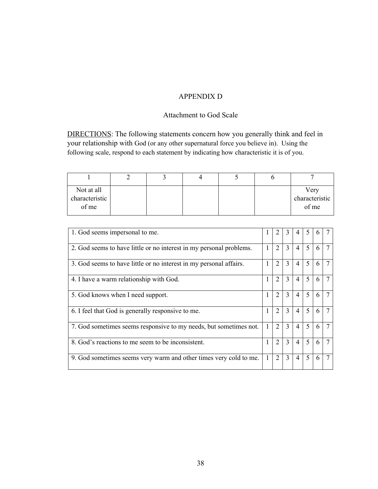## APPENDIX D

## Attachment to God Scale

DIRECTIONS: The following statements concern how you generally think and feel in your relationship with God (or any other supernatural force you believe in). Using the following scale, respond to each statement by indicating how characteristic it is of you.

| Not at all<br>characteristic<br>of me |  |  | Very<br>characteristic<br>of me |
|---------------------------------------|--|--|---------------------------------|

| 1. God seems impersonal to me.                                      |   |                | 3 | 4              | 5                        | <sub>b</sub> |  |
|---------------------------------------------------------------------|---|----------------|---|----------------|--------------------------|--------------|--|
| 2. God seems to have little or no interest in my personal problems. | 1 | $\overline{2}$ | 3 | $\overline{4}$ | 5                        | 6            |  |
| 3. God seems to have little or no interest in my personal affairs.  | 1 | $\overline{2}$ | 3 | $\overline{4}$ | 5                        | 6            |  |
| 4. I have a warm relationship with God.                             |   | $\overline{2}$ | 3 | $\overline{4}$ | 5                        | 6            |  |
| 5. God knows when I need support.                                   | 1 | $\overline{2}$ | 3 | $\overline{4}$ | 5                        | 6            |  |
| 6. I feel that God is generally responsive to me.                   | 1 | $\overline{2}$ | 3 | $\overline{4}$ | $\overline{\phantom{0}}$ | 6            |  |
| 7. God sometimes seems responsive to my needs, but sometimes not.   | 1 | 2              | 3 | $\overline{4}$ | 5                        | 6            |  |
| 8. God's reactions to me seem to be inconsistent.                   | 1 | 2              | 3 | $\overline{4}$ | 5                        | 6            |  |
| 9. God sometimes seems very warm and other times very cold to me.   | 1 | 2              | 3 | 4              | 5                        | 6            |  |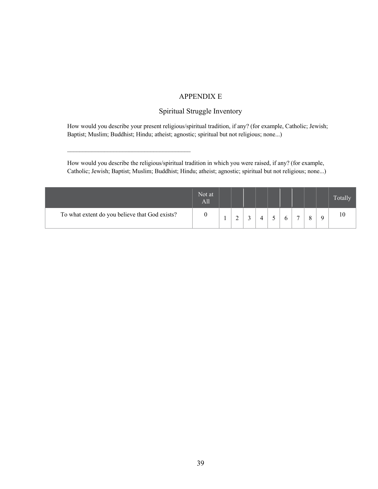## APPENDIX E

## Spiritual Struggle Inventory

How would you describe your present religious/spiritual tradition, if any? (for example, Catholic; Jewish; Baptist; Muslim; Buddhist; Hindu; atheist; agnostic; spiritual but not religious; none...)

How would you describe the religious/spiritual tradition in which you were raised, if any? (for example, Catholic; Jewish; Baptist; Muslim; Buddhist; Hindu; atheist; agnostic; spiritual but not religious; none...)

|                                                | Not at<br><b>All</b> |    |   |  |  |   |  | <b>Totally</b> |
|------------------------------------------------|----------------------|----|---|--|--|---|--|----------------|
| To what extent do you believe that God exists? |                      | л. | ∽ |  |  | - |  | 10             |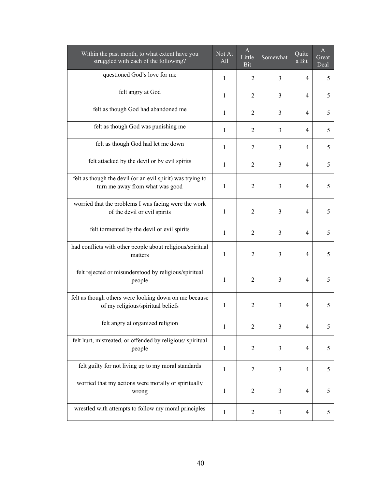| Within the past month, to what extent have you<br>struggled with each of the following?       | Not At<br>All | A<br>Little<br>Bit | Somewhat       | Quite<br>a Bit | A<br>Great<br>Deal |
|-----------------------------------------------------------------------------------------------|---------------|--------------------|----------------|----------------|--------------------|
| questioned God's love for me                                                                  | 1             | $\overline{c}$     | 3              | 4              | 5                  |
| felt angry at God                                                                             | 1             | $\overline{2}$     | 3              | 4              | 5                  |
| felt as though God had abandoned me                                                           | 1             | $\overline{2}$     | 3              | 4              | 5                  |
| felt as though God was punishing me                                                           | $\mathbf{1}$  | $\overline{2}$     | 3              | $\overline{4}$ | 5                  |
| felt as though God had let me down                                                            | 1             | $\overline{2}$     | 3              | $\overline{4}$ | 5                  |
| felt attacked by the devil or by evil spirits                                                 | 1             | $\overline{2}$     | 3              | 4              | 5                  |
| felt as though the devil (or an evil spirit) was trying to<br>turn me away from what was good | 1             | $\overline{2}$     | 3              | 4              | 5                  |
| worried that the problems I was facing were the work<br>of the devil or evil spirits          | 1             | $\overline{2}$     | 3              | $\overline{4}$ | 5                  |
| felt tormented by the devil or evil spirits                                                   | 1             | $\overline{2}$     | $\overline{3}$ | 4              | 5                  |
| had conflicts with other people about religious/spiritual<br>matters                          | 1             | $\overline{2}$     | 3              | 4              | 5                  |
| felt rejected or misunderstood by religious/spiritual<br>people                               | 1             | $\overline{2}$     | 3              | 4              | 5                  |
| felt as though others were looking down on me because<br>of my religious/spiritual beliefs    | 1             | $\overline{c}$     | 3              | 4              | 5                  |
| felt angry at organized religion                                                              | 1             | 2                  | 3              | 4              | 5                  |
| felt hurt, mistreated, or offended by religious/spiritual<br>people                           | $\mathbf{1}$  | 2                  | 3              | 4              | 5                  |
| felt guilty for not living up to my moral standards                                           | 1             | 2                  | $\mathfrak{Z}$ | 4              | 5                  |
| worried that my actions were morally or spiritually<br>wrong                                  | 1             | $\overline{2}$     | 3              | 4              | 5                  |
| wrestled with attempts to follow my moral principles                                          | $\mathbf{1}$  | $\overline{c}$     | $\mathfrak{Z}$ | 4              | 5                  |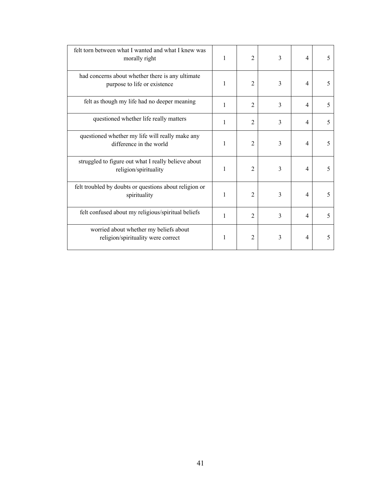| felt torn between what I wanted and what I knew was<br>morally right             | 1 | $\overline{2}$ | 3 | 4                        | 5 |
|----------------------------------------------------------------------------------|---|----------------|---|--------------------------|---|
| had concerns about whether there is any ultimate<br>purpose to life or existence | 1 | $\overline{2}$ | 3 | $\overline{4}$           | 5 |
| felt as though my life had no deeper meaning                                     | 1 | $\overline{2}$ | 3 | 4                        | 5 |
| questioned whether life really matters                                           | 1 | 2              | 3 | $\overline{4}$           | 5 |
| questioned whether my life will really make any<br>difference in the world       | 1 | $\overline{2}$ | 3 | $\overline{4}$           | 5 |
| struggled to figure out what I really believe about<br>religion/spirituality     | 1 | $\overline{2}$ | 3 | 4                        | 5 |
| felt troubled by doubts or questions about religion or<br>spirituality           | 1 | $\overline{2}$ | 3 | 4                        | 5 |
| felt confused about my religious/spiritual beliefs                               | 1 | $\overline{2}$ | 3 | $\overline{\mathcal{L}}$ | 5 |
| worried about whether my beliefs about<br>religion/spirituality were correct     | 1 | 2              | 3 | 4                        | 5 |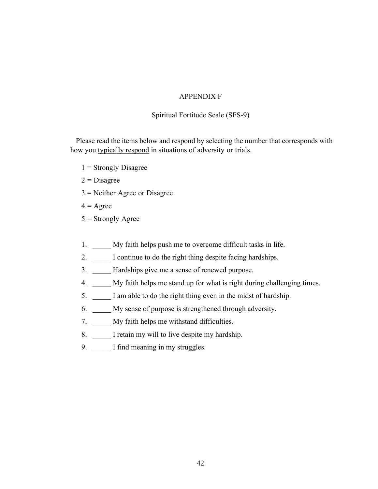## APPENDIX F

## Spiritual Fortitude Scale (SFS-9)

Please read the items below and respond by selecting the number that corresponds with how you typically respond in situations of adversity or trials.

- $1$  = Strongly Disagree
- $2$  = Disagree
- 3 = Neither Agree or Disagree
- $4 = \text{Agree}$
- $5 =$  Strongly Agree
- 1. My faith helps push me to overcome difficult tasks in life.
- 2. \_\_\_\_\_ I continue to do the right thing despite facing hardships.
- 3. Hardships give me a sense of renewed purpose.
- 4. My faith helps me stand up for what is right during challenging times.
- 5. \_\_\_\_\_ I am able to do the right thing even in the midst of hardship.
- 6. \_\_\_\_\_ My sense of purpose is strengthened through adversity.
- 7. \_\_\_\_\_ My faith helps me withstand difficulties.
- 8. \_\_\_\_\_ I retain my will to live despite my hardship.
- 9. I find meaning in my struggles.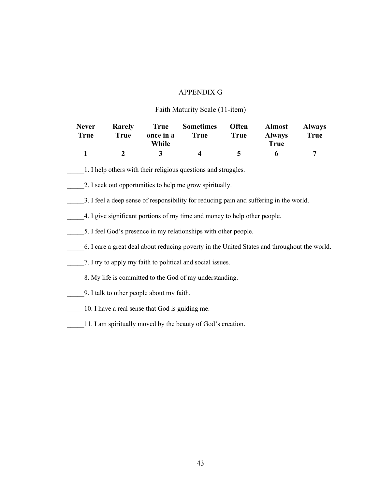## APPENDIX G

## Faith Maturity Scale (11-item)

| <b>Never</b> |      |       | Rarely True Sometimes Often Almost Always |          |                       |      |
|--------------|------|-------|-------------------------------------------|----------|-----------------------|------|
| <b>True</b>  | True | While | once in a True True                       |          | <b>Always</b><br>True | True |
|              |      | 3     | $\mathbf{\Lambda}$                        | $\sim$ 5 | 6.                    |      |

\_\_\_\_\_1. I help others with their religious questions and struggles.

- 2. I seek out opportunities to help me grow spiritually.
- \_\_\_\_\_3. I feel a deep sense of responsibility for reducing pain and suffering in the world.
- \_\_\_\_\_4. I give significant portions of my time and money to help other people.
- 5. I feel God's presence in my relationships with other people.
- \_\_\_\_\_6. I care a great deal about reducing poverty in the United States and throughout the world.
- \_\_\_\_\_7. I try to apply my faith to political and social issues.
- 8. My life is committed to the God of my understanding.
- \_\_\_\_\_9. I talk to other people about my faith.
- \_\_\_\_\_10. I have a real sense that God is guiding me.
- 11. I am spiritually moved by the beauty of God's creation.